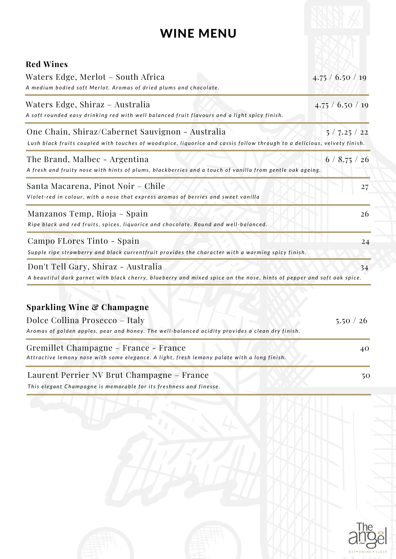## WINE MENU

| <b>Red Wines</b><br>Waters Edge, Merlot – South Africa<br>A medium bodied soft Merlot. Aromas of dried plums and chocolate.                                                                                                             | 4.75 / 6.50 / 19         |
|-----------------------------------------------------------------------------------------------------------------------------------------------------------------------------------------------------------------------------------------|--------------------------|
| Waters Edge, Shiraz – Australia<br>A soft rounded easy drinking red with well balanced fruit flavours and a light spicy finish.                                                                                                         | $4.75 \div 6.50 \div 19$ |
| One Chain, Shiraz/Cabernet Sauvignon - Australia<br>Lush black fruits coupled with touches of woodspice, liquorice and cassis follow through to a delicious, velvety finish.                                                            | 5/7.25/22                |
| The Brand, Malbec - Argentina<br>A fresh and fruity nose with hints of plums, blackberries and a touch of vanilla from gentle oak ageing.                                                                                               | 6/8.75/26                |
| Santa Macarena, Pinot Noir - Chile<br>Violet-red in colour, with a nose that express aromas of berries and sweet vanilla                                                                                                                | 27                       |
| Manzanos Temp, Rioja – Spain<br>Ripe black and red fruits, spices, liquorice and chocolate. Round and well-balanced.                                                                                                                    | 26                       |
| Campo FLores Tinto - Spain<br>Supple ripe strawberry and black currentfruit provides the character with a warming spicy finish.                                                                                                         | 24                       |
| Don't Tell Gary, Shiraz - Australia<br>A beautiful dark garnet with black cherry, blueberry and mixed spice on the nose, hints of pepper and soft oak spice.                                                                            | 34                       |
| <b>Sparkling Wine &amp; Champagne</b><br>Dolce Collina Prosecco - Italy                                                                                                                                                                 | 5.50 / 26                |
| Aromas of golden apples, pear and honey. The well-balanced acidity provides a clean dry finish.<br>Gremillet Champagne - France - France<br>Attractive lemony nose with some elegance. A light, fresh lemony palate with a long finish. | 40                       |
| Lounant Damier MV Drut Champagne France                                                                                                                                                                                                 |                          |

This elegant Champagne is memorable for its freshness and finesse. Laurent Perrier NV Brut Champagne – France 50

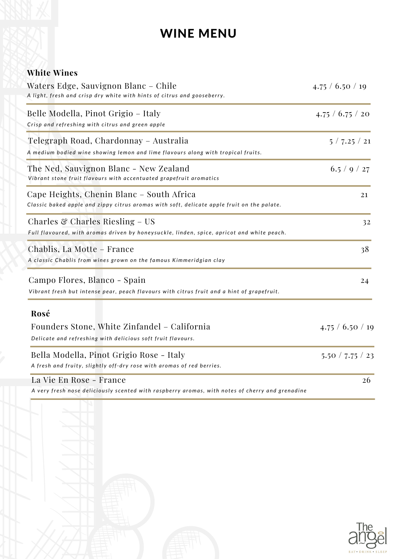## WINE MENU

|  | <b>White Wines</b> |
|--|--------------------|
|--|--------------------|

| Waters Edge, Sauvignon Blanc - Chile<br>A light, fresh and crisp dry white with hints of citrus and gooseberry.                          | 4.75 / 6.50 / 19 |
|------------------------------------------------------------------------------------------------------------------------------------------|------------------|
| Belle Modella, Pinot Grigio – Italy<br>Crisp and refreshing with citrus and green apple                                                  | 4.75 / 6.75 / 20 |
| Telegraph Road, Chardonnay – Australia<br>A medium bodied wine showing lemon and lime flavours along with tropical fruits.               | 5/7.25/21        |
| The Ned, Sauvignon Blanc - New Zealand<br>Vibrant stone fruit flavours with accentuated grapefruit aromatics                             | 6.5 / 9 / 27     |
| Cape Heights, Chenin Blanc - South Africa<br>Classic baked apple and zippy citrus aromas with soft, delicate apple fruit on the palate.  | 21               |
| Charles $\mathcal C$ Charles Riesling – US<br>Full flavoured, with aromas driven by honeysuckle, linden, spice, apricot and white peach. | 32               |
| Chablis, La Motte - France<br>A classic Chablis from wines grown on the famous Kimmeridgian clay                                         | 38               |
| Campo Flores, Blanco - Spain<br>Vibrant fresh but intense pear, peach flavours with citrus fruit and a hint of grapefruit.               | 24               |
| Rosé<br>Founders Stone, White Zinfandel - California<br>Delicate and refreshing with delicious soft fruit flavours.                      | 4.75 / 6.50 / 19 |
| Bella Modella, Pinot Grigio Rose - Italy<br>A fresh and fruity, slightly off-dry rose with aromas of red berries.                        | 5.50 / 7.75 / 23 |
| La Vie En Rose - France<br>A very fresh nose deliciously scented with raspberry aromas, with notes of cherry and grenadine               | 26               |